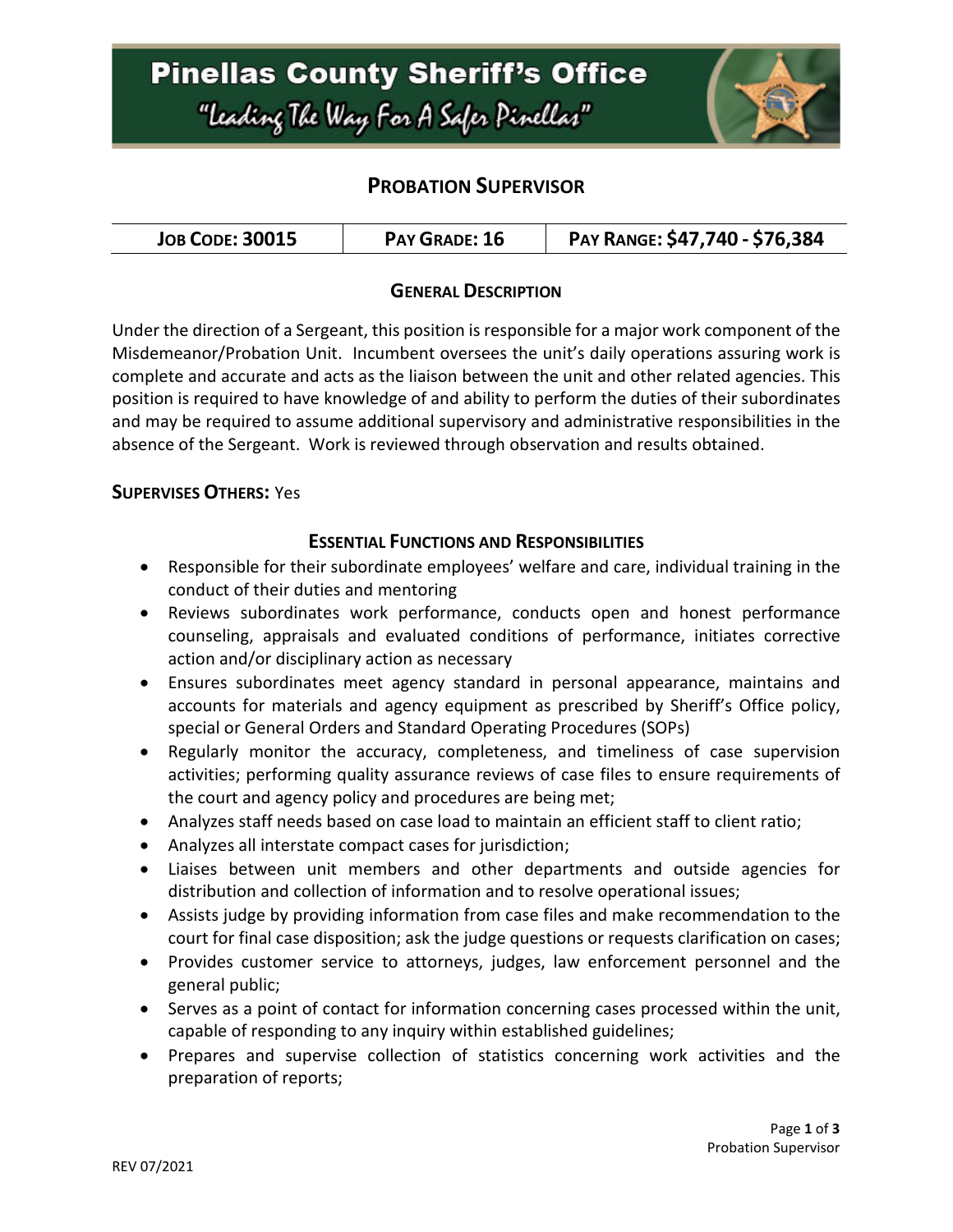

## **PROBATION SUPERVISOR**

| <b>JOB CODE: 30015</b> | PAY GRADE: 16 | PAY RANGE: \$47,740 - \$76,384 |
|------------------------|---------------|--------------------------------|
|------------------------|---------------|--------------------------------|

### **GENERAL DESCRIPTION**

Under the direction of a Sergeant, this position is responsible for a major work component of the Misdemeanor/Probation Unit. Incumbent oversees the unit's daily operations assuring work is complete and accurate and acts as the liaison between the unit and other related agencies. This position is required to have knowledge of and ability to perform the duties of their subordinates and may be required to assume additional supervisory and administrative responsibilities in the absence of the Sergeant. Work is reviewed through observation and results obtained.

#### **SUPERVISES OTHERS:** Yes

### **ESSENTIAL FUNCTIONS AND RESPONSIBILITIES**

- Responsible for their subordinate employees' welfare and care, individual training in the conduct of their duties and mentoring
- Reviews subordinates work performance, conducts open and honest performance counseling, appraisals and evaluated conditions of performance, initiates corrective action and/or disciplinary action as necessary
- Ensures subordinates meet agency standard in personal appearance, maintains and accounts for materials and agency equipment as prescribed by Sheriff's Office policy, special or General Orders and Standard Operating Procedures (SOPs)
- Regularly monitor the accuracy, completeness, and timeliness of case supervision activities; performing quality assurance reviews of case files to ensure requirements of the court and agency policy and procedures are being met;
- Analyzes staff needs based on case load to maintain an efficient staff to client ratio;
- Analyzes all interstate compact cases for jurisdiction;
- Liaises between unit members and other departments and outside agencies for distribution and collection of information and to resolve operational issues;
- Assists judge by providing information from case files and make recommendation to the court for final case disposition; ask the judge questions or requests clarification on cases;
- Provides customer service to attorneys, judges, law enforcement personnel and the general public;
- Serves as a point of contact for information concerning cases processed within the unit, capable of responding to any inquiry within established guidelines;
- Prepares and supervise collection of statistics concerning work activities and the preparation of reports;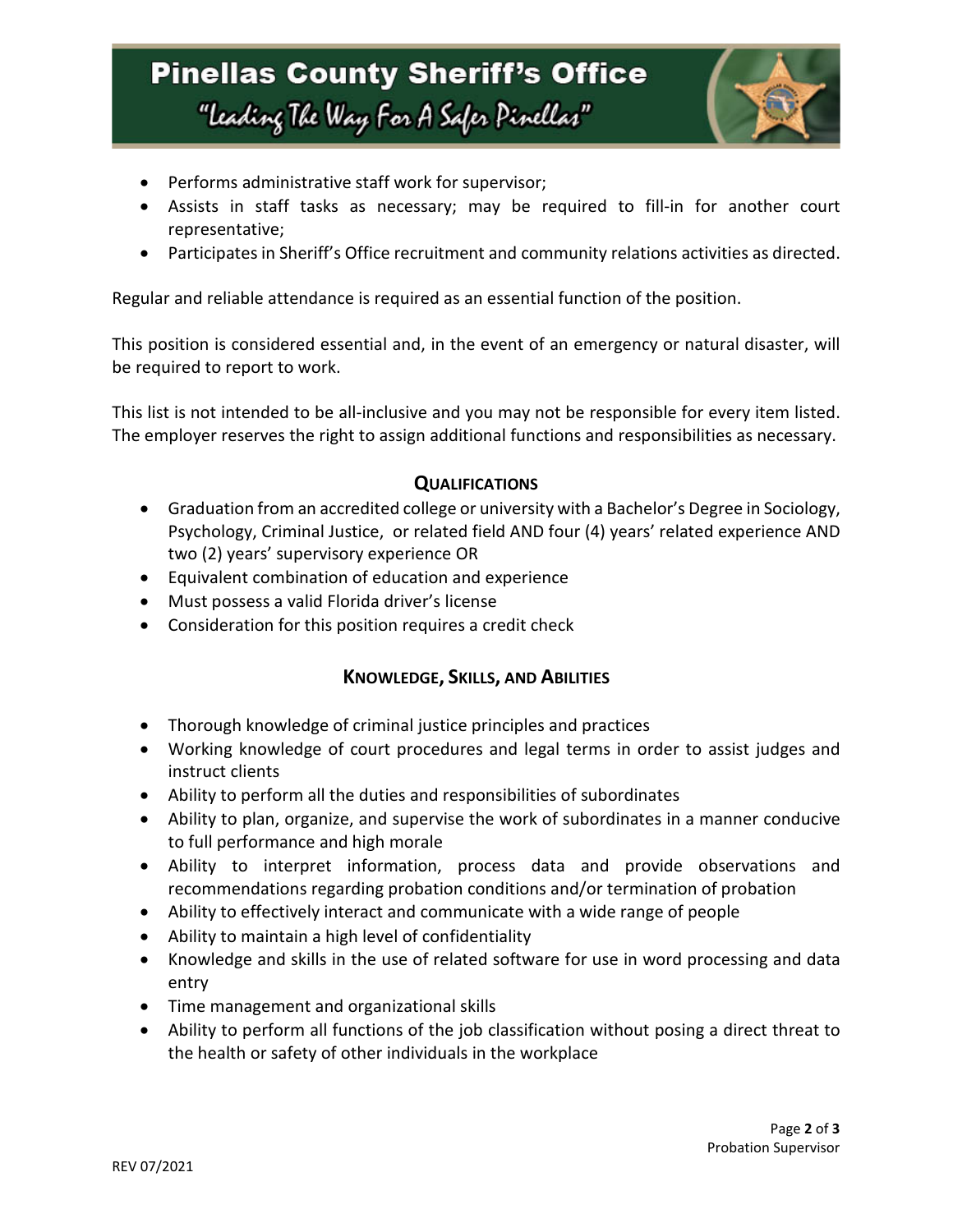# **Pinellas County Sheriff's Office** "Leading The Way For A Safer Pinellar"



- Performs administrative staff work for supervisor;
- Assists in staff tasks as necessary; may be required to fill-in for another court representative;
- Participates in Sheriff's Office recruitment and community relations activities as directed.

Regular and reliable attendance is required as an essential function of the position.

This position is considered essential and, in the event of an emergency or natural disaster, will be required to report to work.

This list is not intended to be all-inclusive and you may not be responsible for every item listed. The employer reserves the right to assign additional functions and responsibilities as necessary.

### **QUALIFICATIONS**

- Graduation from an accredited college or university with a Bachelor's Degree in Sociology, Psychology, Criminal Justice, or related field AND four (4) years' related experience AND two (2) years' supervisory experience OR
- Equivalent combination of education and experience
- Must possess a valid Florida driver's license
- Consideration for this position requires a credit check

#### **KNOWLEDGE, SKILLS, AND ABILITIES**

- Thorough knowledge of criminal justice principles and practices
- Working knowledge of court procedures and legal terms in order to assist judges and instruct clients
- Ability to perform all the duties and responsibilities of subordinates
- Ability to plan, organize, and supervise the work of subordinates in a manner conducive to full performance and high morale
- Ability to interpret information, process data and provide observations and recommendations regarding probation conditions and/or termination of probation
- Ability to effectively interact and communicate with a wide range of people
- Ability to maintain a high level of confidentiality
- Knowledge and skills in the use of related software for use in word processing and data entry
- Time management and organizational skills
- Ability to perform all functions of the job classification without posing a direct threat to the health or safety of other individuals in the workplace